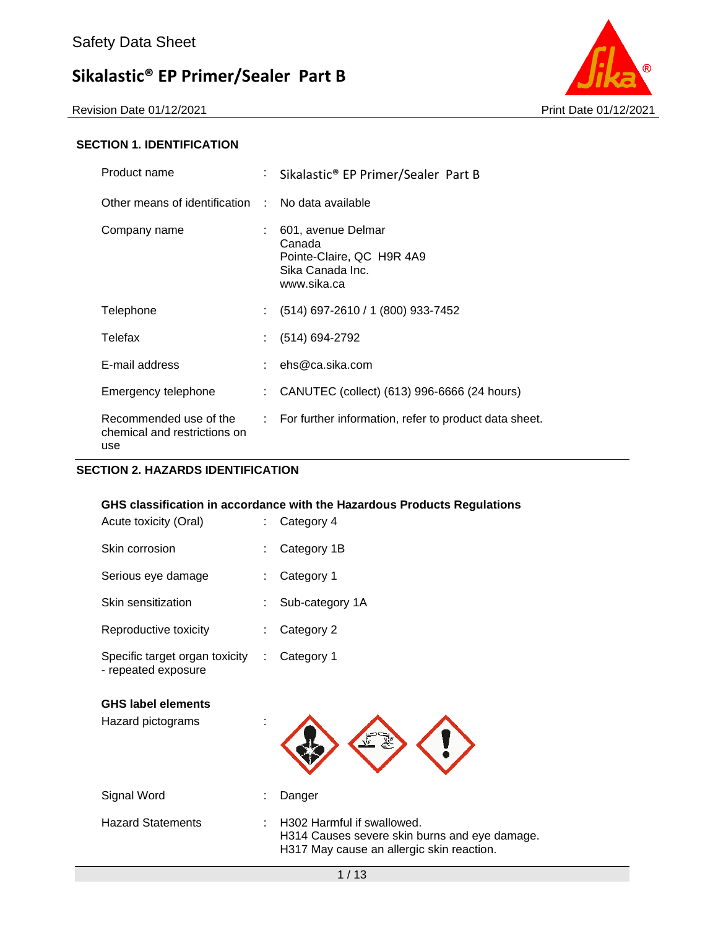Revision Date 01/12/2021 2021 2021



#### **SECTION 1. IDENTIFICATION**

| Product name                                                  | t.                        | Sikalastic <sup>®</sup> EP Primer/Sealer Part B                                              |
|---------------------------------------------------------------|---------------------------|----------------------------------------------------------------------------------------------|
| Other means of identification : No data available             |                           |                                                                                              |
| Company name                                                  |                           | 601, avenue Delmar<br>Canada<br>Pointe-Claire, QC H9R 4A9<br>Sika Canada Inc.<br>www.sika.ca |
| Telephone                                                     | t.                        | (514) 697-2610 / 1 (800) 933-7452                                                            |
| Telefax                                                       | $\mathbb{Z}^{\mathbb{Z}}$ | (514) 694-2792                                                                               |
| E-mail address                                                |                           | : $ehs@ca.sika.com$                                                                          |
| Emergency telephone                                           |                           | CANUTEC (collect) (613) 996-6666 (24 hours)                                                  |
| Recommended use of the<br>chemical and restrictions on<br>use |                           | $\therefore$ For further information, refer to product data sheet.                           |

### **SECTION 2. HAZARDS IDENTIFICATION**

|                                                       |    | GHS classification in accordance with the Hazardous Products Regulations                                                             |
|-------------------------------------------------------|----|--------------------------------------------------------------------------------------------------------------------------------------|
| Acute toxicity (Oral)                                 | t. | Category 4                                                                                                                           |
| Skin corrosion                                        |    | Category 1B                                                                                                                          |
| Serious eye damage                                    |    | Category 1                                                                                                                           |
| Skin sensitization                                    |    | Sub-category 1A                                                                                                                      |
| Reproductive toxicity                                 |    | Category 2                                                                                                                           |
| Specific target organ toxicity<br>- repeated exposure | ÷  | Category 1                                                                                                                           |
| <b>GHS label elements</b>                             |    |                                                                                                                                      |
| Hazard pictograms                                     |    |                                                                                                                                      |
| Signal Word                                           |    | Danger                                                                                                                               |
| <b>Hazard Statements</b>                              |    | H <sub>302</sub> Harmful if swallowed.<br>H314 Causes severe skin burns and eye damage.<br>H317 May cause an allergic skin reaction. |
|                                                       |    | 1/13                                                                                                                                 |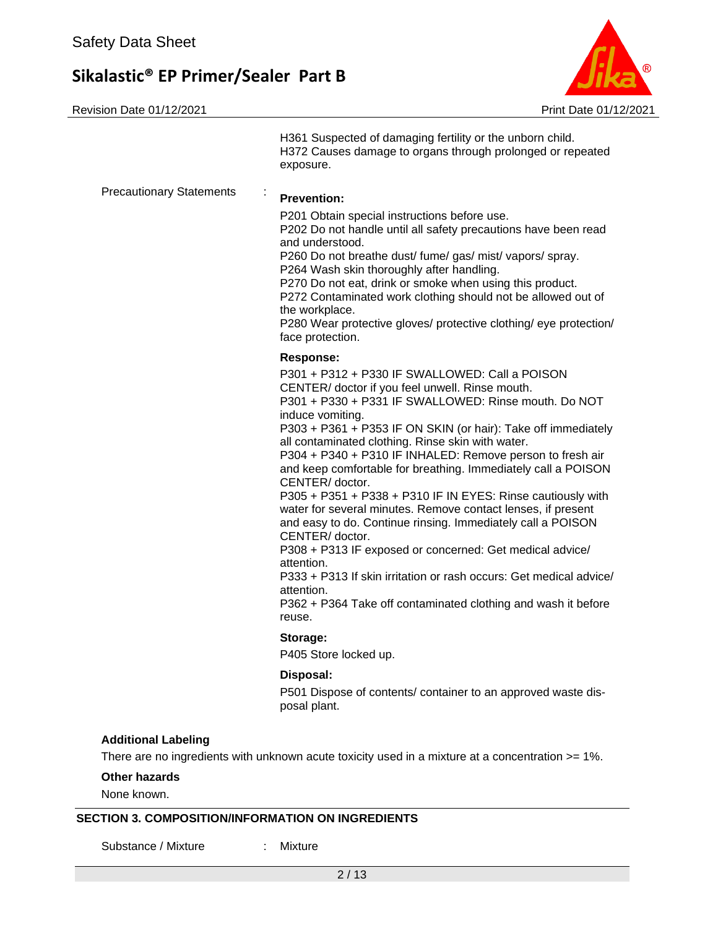Revision Date 01/12/2021 2021 20:00 00:00 00:00 00:00 00:00 00:00 00:00 00:00 00:00 00:00 00:00 00:00 00:00 00



|                                 | H361 Suspected of damaging fertility or the unborn child.<br>H372 Causes damage to organs through prolonged or repeated<br>exposure.                                                                                                                                                                                                                                                                                                                                                                                                                                                                                                                                                                                                                                                                                                                                                                                               |
|---------------------------------|------------------------------------------------------------------------------------------------------------------------------------------------------------------------------------------------------------------------------------------------------------------------------------------------------------------------------------------------------------------------------------------------------------------------------------------------------------------------------------------------------------------------------------------------------------------------------------------------------------------------------------------------------------------------------------------------------------------------------------------------------------------------------------------------------------------------------------------------------------------------------------------------------------------------------------|
| <b>Precautionary Statements</b> | <b>Prevention:</b><br>P201 Obtain special instructions before use.<br>P202 Do not handle until all safety precautions have been read<br>and understood.<br>P260 Do not breathe dust/ fume/ gas/ mist/ vapors/ spray.<br>P264 Wash skin thoroughly after handling.<br>P270 Do not eat, drink or smoke when using this product.<br>P272 Contaminated work clothing should not be allowed out of<br>the workplace.<br>P280 Wear protective gloves/ protective clothing/ eye protection/<br>face protection.                                                                                                                                                                                                                                                                                                                                                                                                                           |
|                                 | <b>Response:</b><br>P301 + P312 + P330 IF SWALLOWED: Call a POISON<br>CENTER/ doctor if you feel unwell. Rinse mouth.<br>P301 + P330 + P331 IF SWALLOWED: Rinse mouth. Do NOT<br>induce vomiting.<br>P303 + P361 + P353 IF ON SKIN (or hair): Take off immediately<br>all contaminated clothing. Rinse skin with water.<br>P304 + P340 + P310 IF INHALED: Remove person to fresh air<br>and keep comfortable for breathing. Immediately call a POISON<br>CENTER/ doctor.<br>P305 + P351 + P338 + P310 IF IN EYES: Rinse cautiously with<br>water for several minutes. Remove contact lenses, if present<br>and easy to do. Continue rinsing. Immediately call a POISON<br>CENTER/ doctor.<br>P308 + P313 IF exposed or concerned: Get medical advice/<br>attention.<br>P333 + P313 If skin irritation or rash occurs: Get medical advice/<br>attention.<br>P362 + P364 Take off contaminated clothing and wash it before<br>reuse. |
|                                 | Storage:<br>P405 Store locked up.                                                                                                                                                                                                                                                                                                                                                                                                                                                                                                                                                                                                                                                                                                                                                                                                                                                                                                  |
|                                 | Disposal:<br>P501 Dispose of contents/ container to an approved waste dis-<br>posal plant.                                                                                                                                                                                                                                                                                                                                                                                                                                                                                                                                                                                                                                                                                                                                                                                                                                         |
| <b>Additional Labeling</b>      | There are no ingredients with unknown acute toxicity used in a mixture at a concentration >= 1%.                                                                                                                                                                                                                                                                                                                                                                                                                                                                                                                                                                                                                                                                                                                                                                                                                                   |
| Other hazards                   |                                                                                                                                                                                                                                                                                                                                                                                                                                                                                                                                                                                                                                                                                                                                                                                                                                                                                                                                    |

None known.

#### **SECTION 3. COMPOSITION/INFORMATION ON INGREDIENTS**

Substance / Mixture : Mixture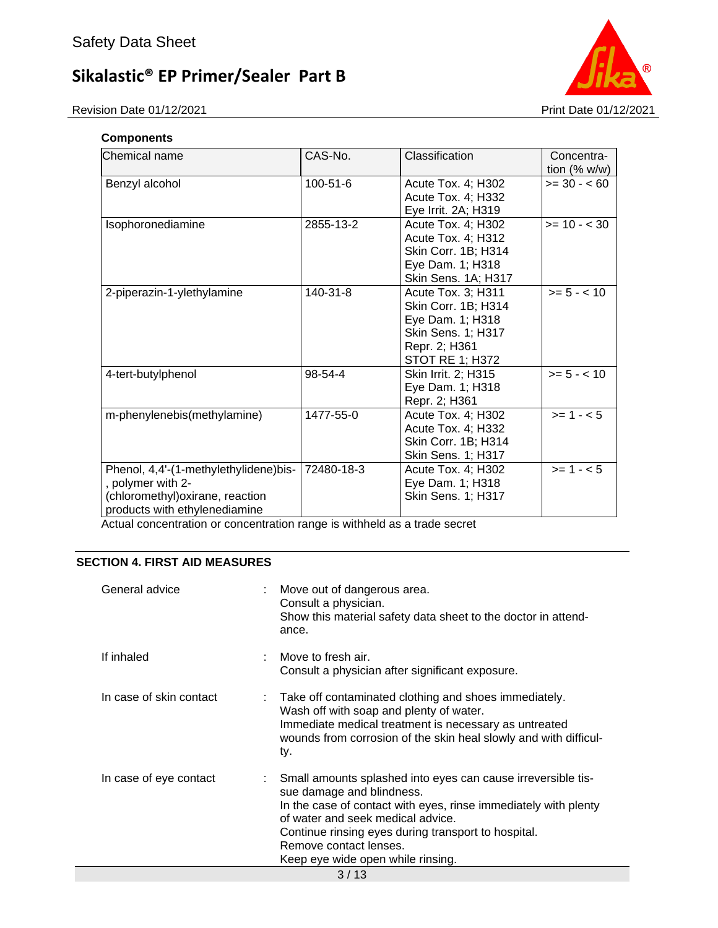

#### **Components**

| Chemical name                                                                                                                   | CAS-No.    | Classification                                                                                                          | Concentra-<br>tion $(% w/w)$ |
|---------------------------------------------------------------------------------------------------------------------------------|------------|-------------------------------------------------------------------------------------------------------------------------|------------------------------|
| Benzyl alcohol                                                                                                                  | 100-51-6   | Acute Tox. 4; H302<br>Acute Tox. 4; H332<br>Eye Irrit. 2A; H319                                                         | $>= 30 - 60$                 |
| Isophoronediamine                                                                                                               | 2855-13-2  | Acute Tox. 4; H302<br>Acute Tox. 4; H312<br>Skin Corr. 1B; H314<br>Eye Dam. 1; H318<br>Skin Sens. 1A; H317              | $>= 10 - < 30$               |
| 2-piperazin-1-ylethylamine                                                                                                      | 140-31-8   | Acute Tox. 3; H311<br>Skin Corr. 1B; H314<br>Eye Dam. 1; H318<br>Skin Sens. 1; H317<br>Repr. 2; H361<br>STOT RE 1; H372 | $>= 5 - < 10$                |
| 4-tert-butylphenol                                                                                                              | 98-54-4    | Skin Irrit. 2; H315<br>Eye Dam. 1; H318<br>Repr. 2; H361                                                                | $>= 5 - < 10$                |
| m-phenylenebis(methylamine)                                                                                                     | 1477-55-0  | Acute Tox. 4; H302<br>Acute Tox. 4; H332<br>Skin Corr. 1B; H314<br>Skin Sens. 1; H317                                   | $>= 1 - 5$                   |
| Phenol, 4,4'-(1-methylethylidene)bis-<br>, polymer with 2-<br>(chloromethyl) oxirane, reaction<br>products with ethylenediamine | 72480-18-3 | Acute Tox. 4; H302<br>Eye Dam. 1; H318<br>Skin Sens. 1; H317                                                            | $>= 1 - 5$                   |

Actual concentration or concentration range is withheld as a trade secret

### **SECTION 4. FIRST AID MEASURES**

| General advice          | Move out of dangerous area.<br>Consult a physician.<br>Show this material safety data sheet to the doctor in attend-<br>ance.                                                                                                                                                                                           |  |  |
|-------------------------|-------------------------------------------------------------------------------------------------------------------------------------------------------------------------------------------------------------------------------------------------------------------------------------------------------------------------|--|--|
| If inhaled              | Move to fresh air.<br>Consult a physician after significant exposure.                                                                                                                                                                                                                                                   |  |  |
| In case of skin contact | : Take off contaminated clothing and shoes immediately.<br>Wash off with soap and plenty of water.<br>Immediate medical treatment is necessary as untreated<br>wounds from corrosion of the skin heal slowly and with difficul-<br>ty.                                                                                  |  |  |
| In case of eye contact  | Small amounts splashed into eyes can cause irreversible tis-<br>sue damage and blindness.<br>In the case of contact with eyes, rinse immediately with plenty<br>of water and seek medical advice.<br>Continue rinsing eyes during transport to hospital.<br>Remove contact lenses.<br>Keep eye wide open while rinsing. |  |  |
| 3/13                    |                                                                                                                                                                                                                                                                                                                         |  |  |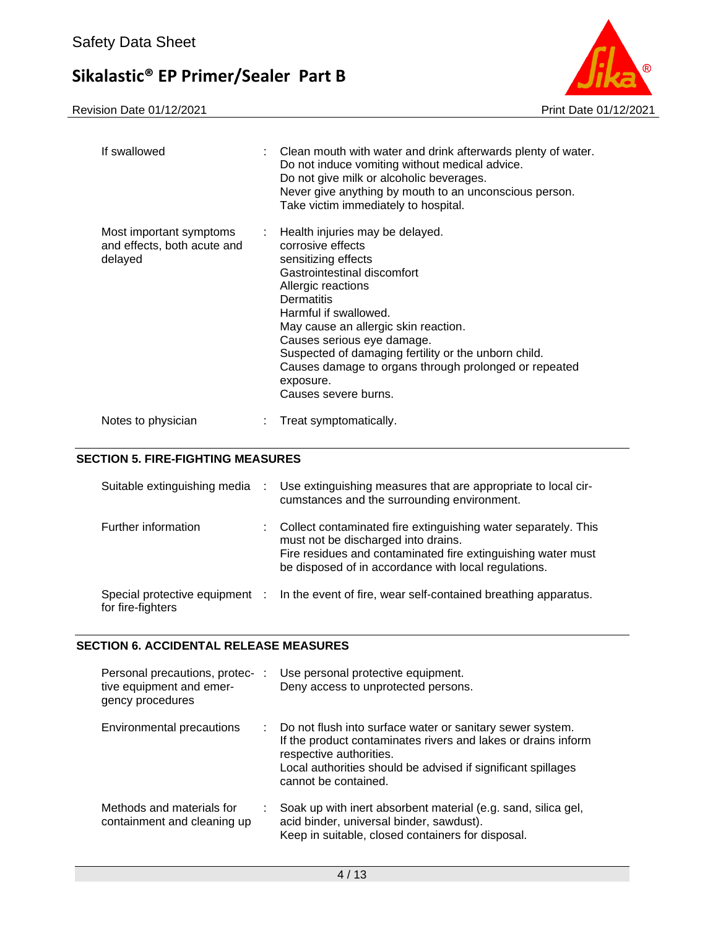Revision Date 01/12/2021 2021 2021



| If swallowed                                                      | : Clean mouth with water and drink afterwards plenty of water.<br>Do not induce vomiting without medical advice.<br>Do not give milk or alcoholic beverages.<br>Never give anything by mouth to an unconscious person.<br>Take victim immediately to hospital.                                                                                                                                        |
|-------------------------------------------------------------------|-------------------------------------------------------------------------------------------------------------------------------------------------------------------------------------------------------------------------------------------------------------------------------------------------------------------------------------------------------------------------------------------------------|
| Most important symptoms<br>and effects, both acute and<br>delayed | : Health injuries may be delayed.<br>corrosive effects<br>sensitizing effects<br>Gastrointestinal discomfort<br>Allergic reactions<br>Dermatitis<br>Harmful if swallowed.<br>May cause an allergic skin reaction.<br>Causes serious eye damage.<br>Suspected of damaging fertility or the unborn child.<br>Causes damage to organs through prolonged or repeated<br>exposure.<br>Causes severe burns. |
| Notes to physician                                                | Treat symptomatically.                                                                                                                                                                                                                                                                                                                                                                                |

#### **SECTION 5. FIRE-FIGHTING MEASURES**

| Suitable extinguishing media                        | ÷  | Use extinguishing measures that are appropriate to local cir-<br>cumstances and the surrounding environment.                                                                                                                  |
|-----------------------------------------------------|----|-------------------------------------------------------------------------------------------------------------------------------------------------------------------------------------------------------------------------------|
| Further information                                 | ÷. | Collect contaminated fire extinguishing water separately. This<br>must not be discharged into drains.<br>Fire residues and contaminated fire extinguishing water must<br>be disposed of in accordance with local regulations. |
| Special protective equipment :<br>for fire-fighters |    | In the event of fire, wear self-contained breathing apparatus.                                                                                                                                                                |

#### **SECTION 6. ACCIDENTAL RELEASE MEASURES**

| Personal precautions, protec- :<br>tive equipment and emer-<br>gency procedures | Use personal protective equipment.<br>Deny access to unprotected persons.                                                                                                                                                                     |
|---------------------------------------------------------------------------------|-----------------------------------------------------------------------------------------------------------------------------------------------------------------------------------------------------------------------------------------------|
| Environmental precautions<br>÷.                                                 | Do not flush into surface water or sanitary sewer system.<br>If the product contaminates rivers and lakes or drains inform<br>respective authorities.<br>Local authorities should be advised if significant spillages<br>cannot be contained. |
| Methods and materials for<br>containment and cleaning up                        | Soak up with inert absorbent material (e.g. sand, silica gel,<br>acid binder, universal binder, sawdust).<br>Keep in suitable, closed containers for disposal.                                                                                |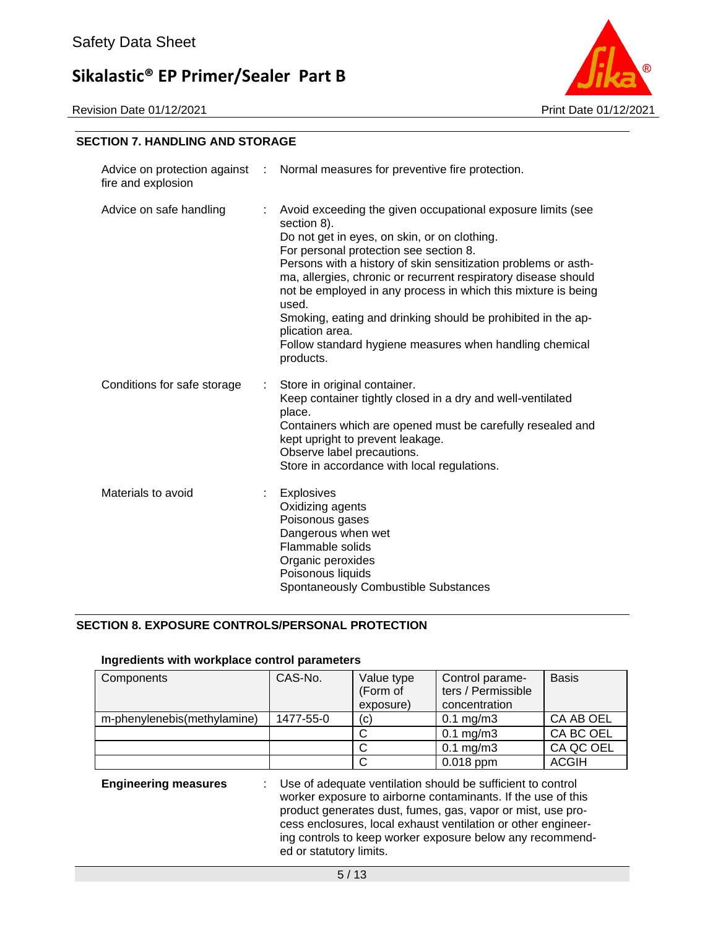Revision Date 01/12/2021 Print Date 01/12/2021



#### **SECTION 7. HANDLING AND STORAGE**

| fire and explosion          |    | Advice on protection against : Normal measures for preventive fire protection.                                                                                                                                                                                                                                                                                                                                                                                                                                                                |
|-----------------------------|----|-----------------------------------------------------------------------------------------------------------------------------------------------------------------------------------------------------------------------------------------------------------------------------------------------------------------------------------------------------------------------------------------------------------------------------------------------------------------------------------------------------------------------------------------------|
| Advice on safe handling     |    | Avoid exceeding the given occupational exposure limits (see<br>section 8).<br>Do not get in eyes, on skin, or on clothing.<br>For personal protection see section 8.<br>Persons with a history of skin sensitization problems or asth-<br>ma, allergies, chronic or recurrent respiratory disease should<br>not be employed in any process in which this mixture is being<br>used.<br>Smoking, eating and drinking should be prohibited in the ap-<br>plication area.<br>Follow standard hygiene measures when handling chemical<br>products. |
| Conditions for safe storage |    | Store in original container.<br>Keep container tightly closed in a dry and well-ventilated<br>place.<br>Containers which are opened must be carefully resealed and<br>kept upright to prevent leakage.<br>Observe label precautions.<br>Store in accordance with local regulations.                                                                                                                                                                                                                                                           |
| Materials to avoid          | ÷. | <b>Explosives</b><br>Oxidizing agents<br>Poisonous gases<br>Dangerous when wet<br>Flammable solids<br>Organic peroxides<br>Poisonous liquids<br>Spontaneously Combustible Substances                                                                                                                                                                                                                                                                                                                                                          |

#### **SECTION 8. EXPOSURE CONTROLS/PERSONAL PROTECTION**

#### **Ingredients with workplace control parameters**

| Components                  | CAS-No.   | Value type<br>(Form of | Control parame-<br>ters / Permissible | <b>Basis</b> |
|-----------------------------|-----------|------------------------|---------------------------------------|--------------|
|                             |           | exposure)              | concentration                         |              |
| m-phenylenebis(methylamine) | 1477-55-0 | (C)                    | $0.1 \text{ mg/m}$ 3                  | CA AB OEL    |
|                             |           |                        | $0.1$ mg/m $3$                        | CA BC OEL    |
|                             |           |                        | $0.1$ mg/m $3$                        | CA QC OEL    |
|                             |           |                        | $0.018$ ppm                           | <b>ACGIH</b> |

**Engineering measures** : Use of adequate ventilation should be sufficient to control worker exposure to airborne contaminants. If the use of this product generates dust, fumes, gas, vapor or mist, use process enclosures, local exhaust ventilation or other engineering controls to keep worker exposure below any recommended or statutory limits.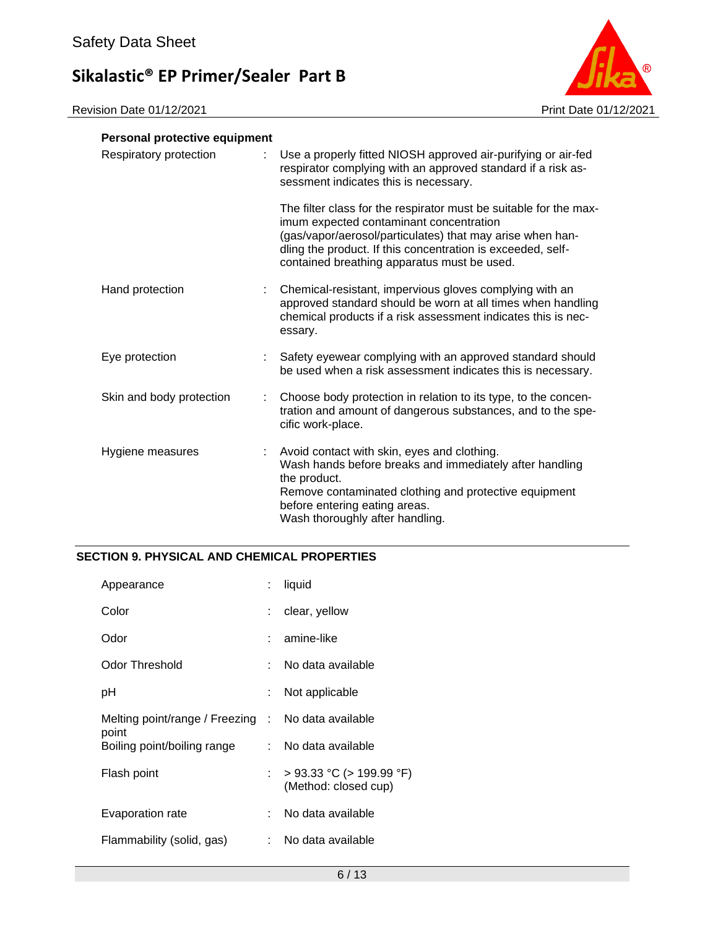

| Personal protective equipment |                                                                                                                                                                                                                                                                                         |  |
|-------------------------------|-----------------------------------------------------------------------------------------------------------------------------------------------------------------------------------------------------------------------------------------------------------------------------------------|--|
| Respiratory protection        | Use a properly fitted NIOSH approved air-purifying or air-fed<br>respirator complying with an approved standard if a risk as-<br>sessment indicates this is necessary.                                                                                                                  |  |
|                               | The filter class for the respirator must be suitable for the max-<br>imum expected contaminant concentration<br>(gas/vapor/aerosol/particulates) that may arise when han-<br>dling the product. If this concentration is exceeded, self-<br>contained breathing apparatus must be used. |  |
| Hand protection               | Chemical-resistant, impervious gloves complying with an<br>approved standard should be worn at all times when handling<br>chemical products if a risk assessment indicates this is nec-<br>essary.                                                                                      |  |
| Eye protection                | Safety eyewear complying with an approved standard should<br>be used when a risk assessment indicates this is necessary.                                                                                                                                                                |  |
| Skin and body protection      | Choose body protection in relation to its type, to the concen-<br>tration and amount of dangerous substances, and to the spe-<br>cific work-place.                                                                                                                                      |  |
| Hygiene measures              | Avoid contact with skin, eyes and clothing.<br>Wash hands before breaks and immediately after handling<br>the product.<br>Remove contaminated clothing and protective equipment<br>before entering eating areas.<br>Wash thoroughly after handling.                                     |  |

### **SECTION 9. PHYSICAL AND CHEMICAL PROPERTIES**

| Appearance                                                  | liquid                                                |
|-------------------------------------------------------------|-------------------------------------------------------|
| Color                                                       | : clear, yellow                                       |
| Odor                                                        | $:$ amine-like                                        |
| Odor Threshold                                              | No data available                                     |
| рH                                                          | Not applicable                                        |
| Melting point/range / Freezing : No data available<br>point |                                                       |
| Boiling point/boiling range                                 | No data available                                     |
| Flash point                                                 | $>$ 93.33 °C ( $>$ 199.99 °F)<br>(Method: closed cup) |
| Evaporation rate                                            | No data available                                     |
| Flammability (solid, gas)                                   | No data available                                     |
|                                                             |                                                       |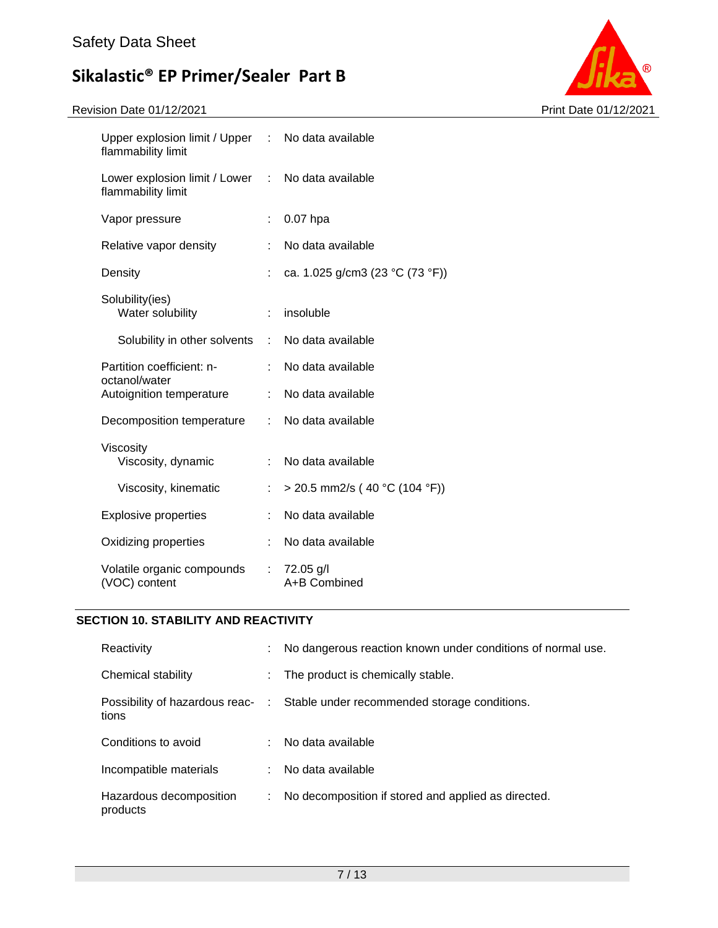Revision Date 01/12/2021 2021



| Upper explosion limit / Upper : No data available<br>flammability limit |    |                                 |
|-------------------------------------------------------------------------|----|---------------------------------|
| Lower explosion limit / Lower : No data available<br>flammability limit |    |                                 |
| Vapor pressure                                                          | ÷  | $0.07$ hpa                      |
| Relative vapor density                                                  |    | No data available               |
| Density                                                                 |    | ca. 1.025 g/cm3 (23 °C (73 °F)) |
| Solubility(ies)<br>Water solubility                                     |    | insoluble                       |
| Solubility in other solvents :                                          |    | No data available               |
| Partition coefficient: n-<br>octanol/water                              |    | No data available               |
| Autoignition temperature                                                | ÷. | No data available               |
| Decomposition temperature                                               |    | : No data available             |
| Viscosity<br>Viscosity, dynamic                                         |    | : No data available             |
| Viscosity, kinematic                                                    |    | $>$ 20.5 mm2/s (40 °C (104 °F)) |
| <b>Explosive properties</b>                                             |    | No data available               |
| Oxidizing properties                                                    | ÷  | No data available               |
| Volatile organic compounds<br>(VOC) content                             | ÷. | 72.05 g/l<br>A+B Combined       |

### **SECTION 10. STABILITY AND REACTIVITY**

| Reactivity                          | ÷. | No dangerous reaction known under conditions of normal use.                   |
|-------------------------------------|----|-------------------------------------------------------------------------------|
| Chemical stability                  | ÷. | The product is chemically stable.                                             |
| tions                               |    | Possibility of hazardous reac- : Stable under recommended storage conditions. |
| Conditions to avoid                 |    | No data available                                                             |
| Incompatible materials              |    | No data available                                                             |
| Hazardous decomposition<br>products |    | No decomposition if stored and applied as directed.                           |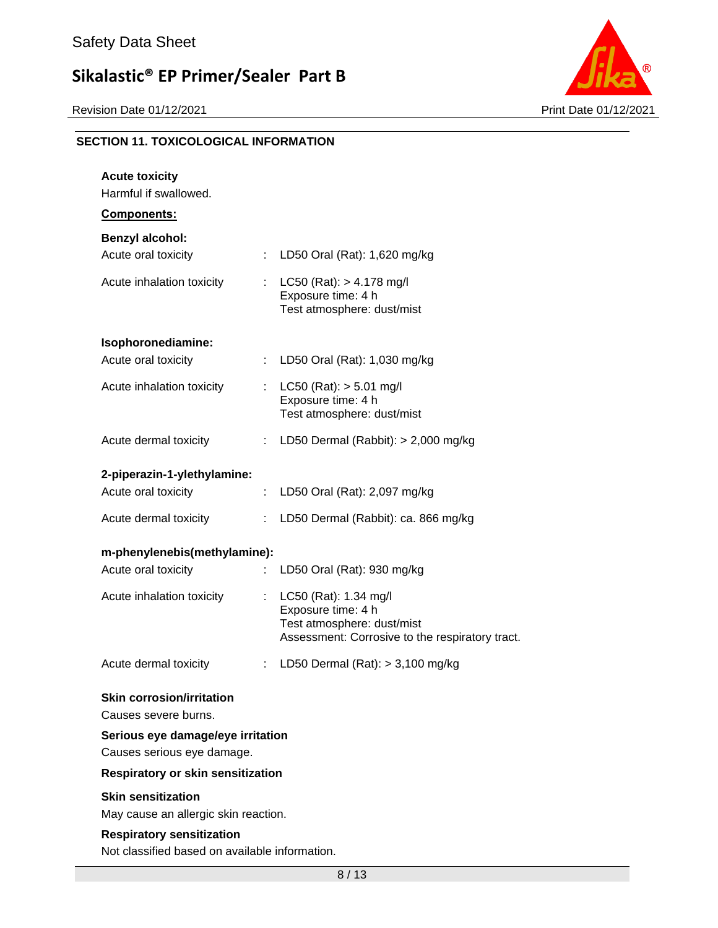

### **SECTION 11. TOXICOLOGICAL INFORMATION**

| <b>Acute toxicity</b><br>Harmful if swallowed.<br><b>Components:</b>               |    |                                                                                                                              |  |  |
|------------------------------------------------------------------------------------|----|------------------------------------------------------------------------------------------------------------------------------|--|--|
| <b>Benzyl alcohol:</b>                                                             |    |                                                                                                                              |  |  |
| Acute oral toxicity                                                                |    | : LD50 Oral (Rat): 1,620 mg/kg                                                                                               |  |  |
| Acute inhalation toxicity                                                          |    | : LC50 (Rat): $> 4.178$ mg/l<br>Exposure time: 4 h<br>Test atmosphere: dust/mist                                             |  |  |
| Isophoronediamine:                                                                 |    |                                                                                                                              |  |  |
| Acute oral toxicity                                                                |    | LD50 Oral (Rat): 1,030 mg/kg                                                                                                 |  |  |
| Acute inhalation toxicity                                                          |    | $LC50$ (Rat): $> 5.01$ mg/l<br>Exposure time: 4 h<br>Test atmosphere: dust/mist                                              |  |  |
| Acute dermal toxicity                                                              |    | : LD50 Dermal (Rabbit): $> 2,000$ mg/kg                                                                                      |  |  |
| 2-piperazin-1-ylethylamine:                                                        |    |                                                                                                                              |  |  |
| Acute oral toxicity                                                                | ÷. | LD50 Oral (Rat): 2,097 mg/kg                                                                                                 |  |  |
| Acute dermal toxicity                                                              | ÷. | LD50 Dermal (Rabbit): ca. 866 mg/kg                                                                                          |  |  |
| m-phenylenebis(methylamine):                                                       |    |                                                                                                                              |  |  |
| Acute oral toxicity                                                                |    | LD50 Oral (Rat): 930 mg/kg                                                                                                   |  |  |
| Acute inhalation toxicity                                                          | ÷. | LC50 (Rat): 1.34 mg/l<br>Exposure time: 4 h<br>Test atmosphere: dust/mist<br>Assessment: Corrosive to the respiratory tract. |  |  |
| Acute dermal toxicity                                                              | ÷. | LD50 Dermal $(Rat):$ > 3,100 mg/kg                                                                                           |  |  |
| <b>Skin corrosion/irritation</b><br>Causes severe burns.                           |    |                                                                                                                              |  |  |
| Serious eye damage/eye irritation<br>Causes serious eye damage.                    |    |                                                                                                                              |  |  |
| Respiratory or skin sensitization                                                  |    |                                                                                                                              |  |  |
| <b>Skin sensitization</b><br>May cause an allergic skin reaction.                  |    |                                                                                                                              |  |  |
| <b>Respiratory sensitization</b><br>Not classified based on available information. |    |                                                                                                                              |  |  |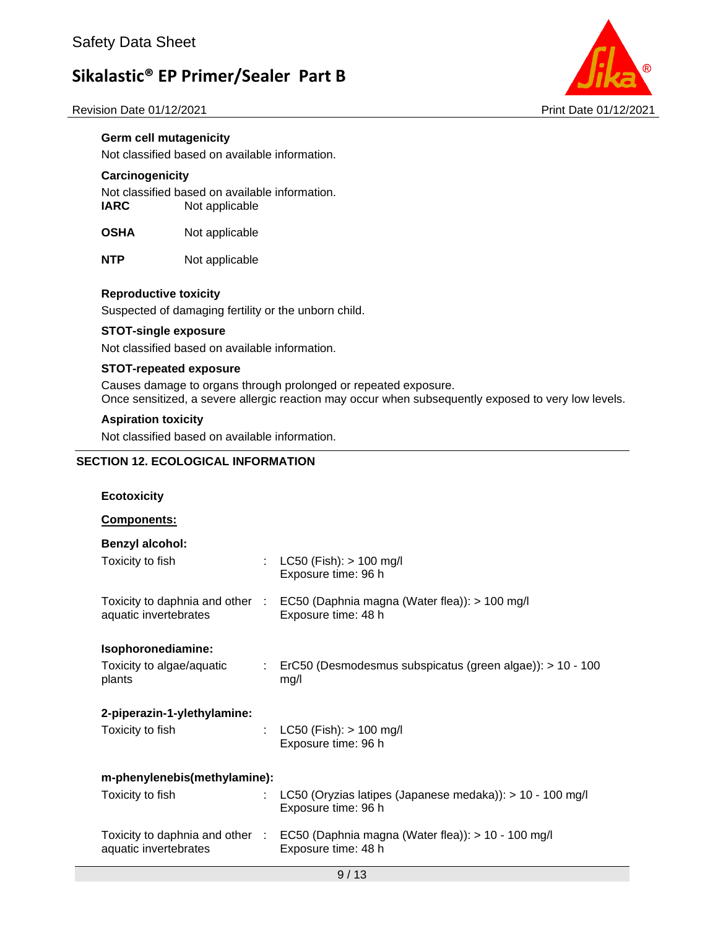



#### **Germ cell mutagenicity**

Not classified based on available information.

#### **Carcinogenicity**

Not classified based on available information. **IARC** Not applicable

**OSHA** Not applicable

**NTP** Not applicable

#### **Reproductive toxicity**

Suspected of damaging fertility or the unborn child.

#### **STOT-single exposure**

Not classified based on available information.

#### **STOT-repeated exposure**

Causes damage to organs through prolonged or repeated exposure. Once sensitized, a severe allergic reaction may occur when subsequently exposed to very low levels.

#### **Aspiration toxicity**

Not classified based on available information.

#### **SECTION 12. ECOLOGICAL INFORMATION**

| <b>Ecotoxicity</b>                  |                           |                                                                                                           |
|-------------------------------------|---------------------------|-----------------------------------------------------------------------------------------------------------|
| Components:                         |                           |                                                                                                           |
| <b>Benzyl alcohol:</b>              |                           |                                                                                                           |
| Toxicity to fish                    | $\mathbb{R}^{\mathbb{Z}}$ | $LC50$ (Fish): $> 100$ mg/l<br>Exposure time: 96 h                                                        |
| aquatic invertebrates               |                           | Toxicity to daphnia and other : EC50 (Daphnia magna (Water flea)): > 100 mg/l<br>Exposure time: 48 h      |
| Isophoronediamine:                  |                           |                                                                                                           |
| Toxicity to algae/aquatic<br>plants |                           | ErC50 (Desmodesmus subspicatus (green algae)): > 10 - 100<br>mg/l                                         |
| 2-piperazin-1-ylethylamine:         |                           |                                                                                                           |
| Toxicity to fish<br>÷               |                           | $LC50$ (Fish): $> 100$ mg/l<br>Exposure time: 96 h                                                        |
| m-phenylenebis(methylamine):        |                           |                                                                                                           |
| Toxicity to fish                    | ÷.                        | LC50 (Oryzias latipes (Japanese medaka)): > 10 - 100 mg/l<br>Exposure time: 96 h                          |
| aquatic invertebrates               |                           | Toxicity to daphnia and other : EC50 (Daphnia magna (Water flea)): > 10 - 100 mg/l<br>Exposure time: 48 h |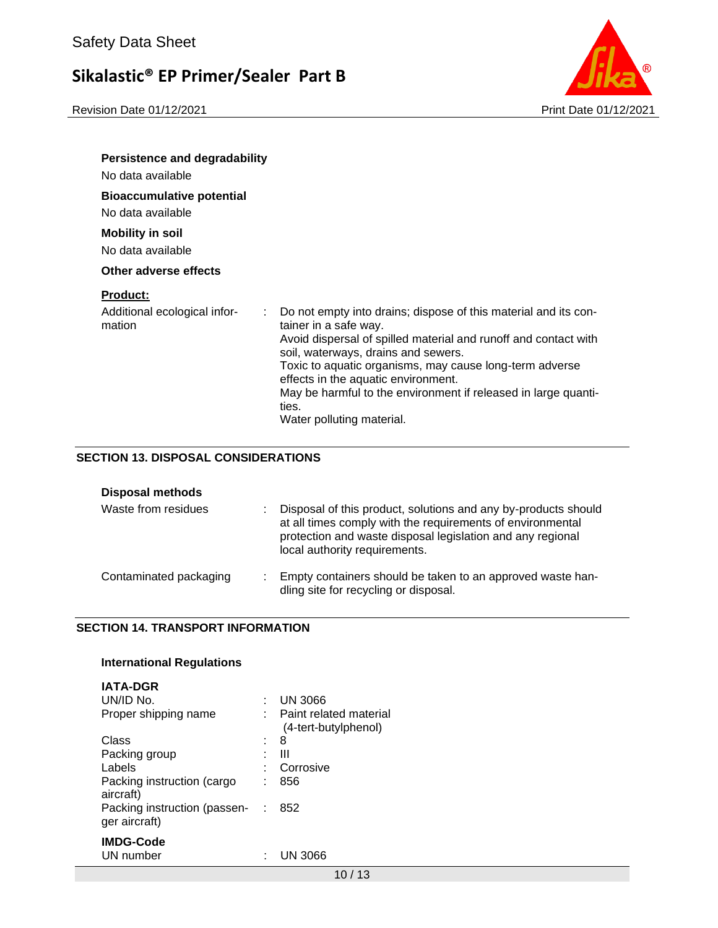Revision Date 01/12/2021 2021 2021

| <b>Persistence and degradability</b>                            |                                                                                                                                                                                                        |
|-----------------------------------------------------------------|--------------------------------------------------------------------------------------------------------------------------------------------------------------------------------------------------------|
| No data available                                               |                                                                                                                                                                                                        |
| <b>Bioaccumulative potential</b><br>No data available           |                                                                                                                                                                                                        |
| <b>Mobility in soil</b><br>No data available                    |                                                                                                                                                                                                        |
| Other adverse effects                                           |                                                                                                                                                                                                        |
| <b>Product:</b><br>Additional ecological infor-<br>÷.<br>mation | Do not empty into drains; dispose of this material and its con-<br>tainer in a safe way.<br>Avoid dispersal of spilled material and runoff and contact with<br>soil, waterways, drains and sewers.     |
|                                                                 | Toxic to aquatic organisms, may cause long-term adverse<br>effects in the aquatic environment.<br>May be harmful to the environment if released in large quanti-<br>ties.<br>Water polluting material. |

#### **SECTION 13. DISPOSAL CONSIDERATIONS**

| <b>Disposal methods</b> |                                                                                                                                                                                                                             |
|-------------------------|-----------------------------------------------------------------------------------------------------------------------------------------------------------------------------------------------------------------------------|
| Waste from residues     | Disposal of this product, solutions and any by-products should<br>at all times comply with the requirements of environmental<br>protection and waste disposal legislation and any regional<br>local authority requirements. |
| Contaminated packaging  | Empty containers should be taken to an approved waste han-<br>dling site for recycling or disposal.                                                                                                                         |

#### **SECTION 14. TRANSPORT INFORMATION**

#### **International Regulations**

| <b>IATA-DGR</b>                               |                                                |
|-----------------------------------------------|------------------------------------------------|
| UN/ID No.                                     | <b>UN 3066</b>                                 |
| Proper shipping name                          | Paint related material<br>(4-tert-butylphenol) |
| Class                                         | 8                                              |
| Packing group                                 | Ш                                              |
| Labels                                        | Corrosive                                      |
| Packing instruction (cargo<br>aircraft)       | 856                                            |
| Packing instruction (passen-<br>ger aircraft) | 852                                            |
| <b>IMDG-Code</b>                              |                                                |
| UN number                                     | UN 3066                                        |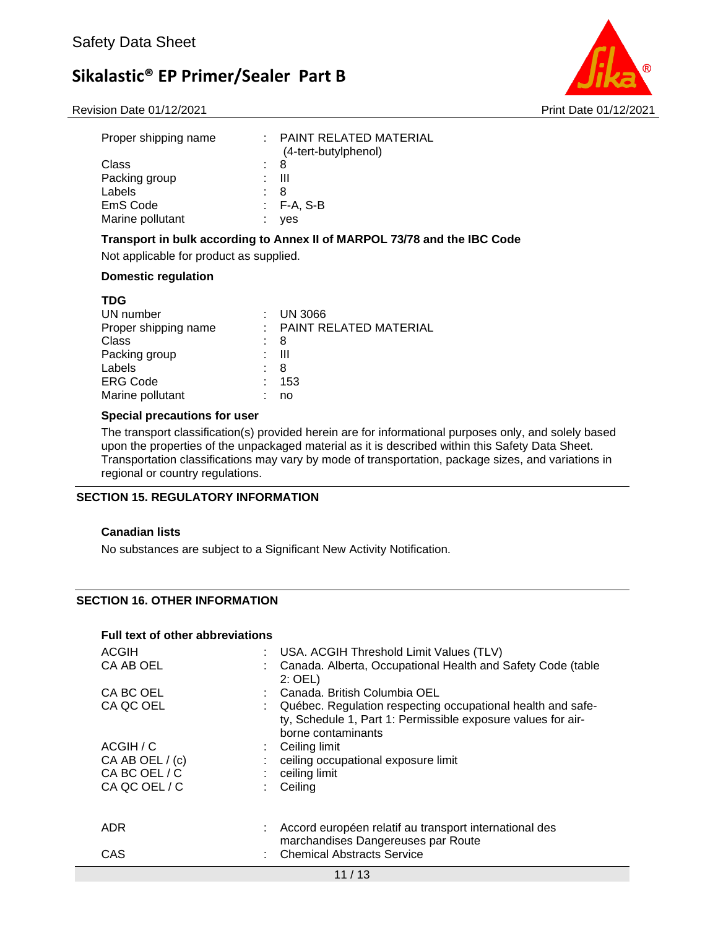



| Proper shipping name |     | $\pm$ PAINT RELATED MATERIAL<br>(4-tert-butylphenol) |
|----------------------|-----|------------------------------------------------------|
| Class                | : 8 |                                                      |
| Packing group        |     | - 111                                                |
| Labels               |     | 8                                                    |
| EmS Code             |     | : F-A. S-B                                           |
| Marine pollutant     |     | yes                                                  |

#### **Transport in bulk according to Annex II of MARPOL 73/78 and the IBC Code**

Not applicable for product as supplied.

#### **Domestic regulation**

| <b>TDG</b>           |   |                          |
|----------------------|---|--------------------------|
| UN number            |   | $:$ UN 3066              |
| Proper shipping name |   | : PAINT RELATED MATERIAL |
| Class                |   | 8                        |
| Packing group        | ٠ | Ш                        |
| Labels               | ÷ | 8                        |
| <b>ERG Code</b>      | ٠ | 153                      |
| Marine pollutant     |   | no                       |
|                      |   |                          |

#### **Special precautions for user**

The transport classification(s) provided herein are for informational purposes only, and solely based upon the properties of the unpackaged material as it is described within this Safety Data Sheet. Transportation classifications may vary by mode of transportation, package sizes, and variations in regional or country regulations.

#### **SECTION 15. REGULATORY INFORMATION**

#### **Canadian lists**

No substances are subject to a Significant New Activity Notification.

#### **SECTION 16. OTHER INFORMATION**

#### **Full text of other abbreviations**

| <b>ACGIH</b><br>CA AB OEL                                      | : USA. ACGIH Threshold Limit Values (TLV)<br>Canada. Alberta, Occupational Health and Safety Code (table<br>$2:$ OEL)                                                             |
|----------------------------------------------------------------|-----------------------------------------------------------------------------------------------------------------------------------------------------------------------------------|
| CA BC OEL<br>CA QC OEL                                         | Canada. British Columbia OEL<br>Québec. Regulation respecting occupational health and safe-<br>ty, Schedule 1, Part 1: Permissible exposure values for air-<br>borne contaminants |
| ACGIH / C<br>CA AB OEL / (c)<br>CA BC OEL / C<br>CA QC OEL / C | Ceiling limit<br>ceiling occupational exposure limit<br>ceiling limit<br>Ceiling                                                                                                  |
| ADR.<br>CAS                                                    | Accord européen relatif au transport international des<br>marchandises Dangereuses par Route<br><b>Chemical Abstracts Service</b>                                                 |
|                                                                | 11/13                                                                                                                                                                             |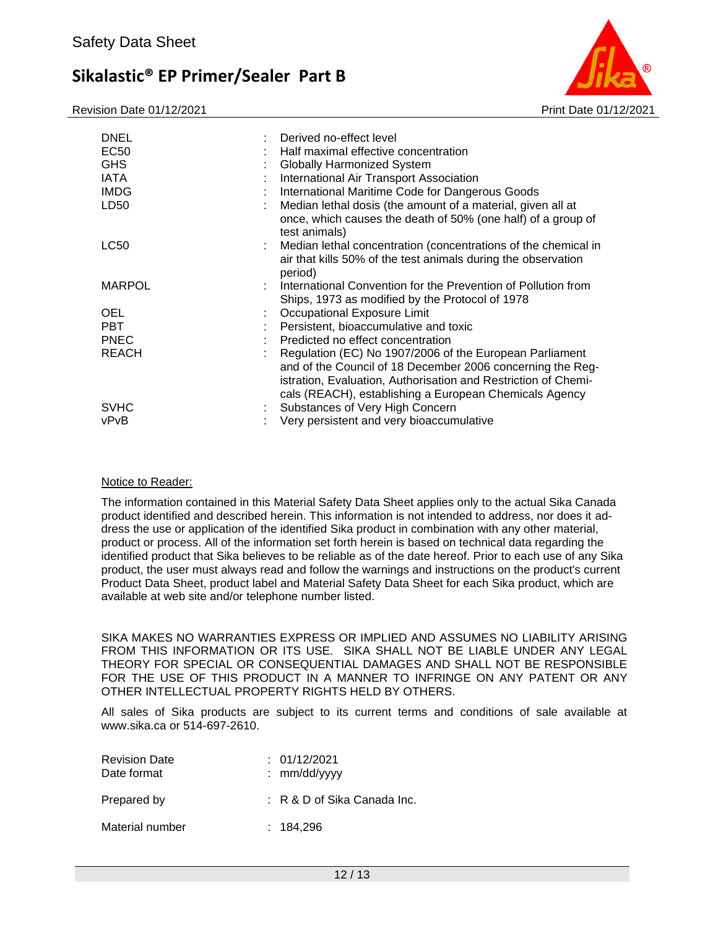Revision Date 01/12/2021 **Print Date 01/12/2021** Print Date 01/12/2021



| <b>DNEL</b><br>EC50<br><b>GHS</b><br><b>IATA</b><br><b>IMDG</b><br>LD50 |    | Derived no-effect level<br>Half maximal effective concentration<br><b>Globally Harmonized System</b><br>International Air Transport Association<br>International Maritime Code for Dangerous Goods<br>Median lethal dosis (the amount of a material, given all at |
|-------------------------------------------------------------------------|----|-------------------------------------------------------------------------------------------------------------------------------------------------------------------------------------------------------------------------------------------------------------------|
|                                                                         |    | once, which causes the death of 50% (one half) of a group of<br>test animals)                                                                                                                                                                                     |
| <b>LC50</b>                                                             | ÷. | Median lethal concentration (concentrations of the chemical in<br>air that kills 50% of the test animals during the observation<br>period)                                                                                                                        |
| <b>MARPOL</b>                                                           |    | : International Convention for the Prevention of Pollution from<br>Ships, 1973 as modified by the Protocol of 1978                                                                                                                                                |
| <b>OEL</b>                                                              |    | : Occupational Exposure Limit                                                                                                                                                                                                                                     |
| <b>PBT</b>                                                              |    | Persistent, bioaccumulative and toxic                                                                                                                                                                                                                             |
| <b>PNEC</b>                                                             |    | Predicted no effect concentration                                                                                                                                                                                                                                 |
| <b>REACH</b>                                                            |    | Regulation (EC) No 1907/2006 of the European Parliament<br>and of the Council of 18 December 2006 concerning the Reg-<br>istration, Evaluation, Authorisation and Restriction of Chemi-<br>cals (REACH), establishing a European Chemicals Agency                 |
| <b>SVHC</b>                                                             |    | : Substances of Very High Concern                                                                                                                                                                                                                                 |
| vPvB                                                                    |    | Very persistent and very bioaccumulative                                                                                                                                                                                                                          |

#### Notice to Reader:

The information contained in this Material Safety Data Sheet applies only to the actual Sika Canada product identified and described herein. This information is not intended to address, nor does it address the use or application of the identified Sika product in combination with any other material, product or process. All of the information set forth herein is based on technical data regarding the identified product that Sika believes to be reliable as of the date hereof. Prior to each use of any Sika product, the user must always read and follow the warnings and instructions on the product's current Product Data Sheet, product label and Material Safety Data Sheet for each Sika product, which are available at web site and/or telephone number listed.

SIKA MAKES NO WARRANTIES EXPRESS OR IMPLIED AND ASSUMES NO LIABILITY ARISING FROM THIS INFORMATION OR ITS USE. SIKA SHALL NOT BE LIABLE UNDER ANY LEGAL THEORY FOR SPECIAL OR CONSEQUENTIAL DAMAGES AND SHALL NOT BE RESPONSIBLE FOR THE USE OF THIS PRODUCT IN A MANNER TO INFRINGE ON ANY PATENT OR ANY OTHER INTELLECTUAL PROPERTY RIGHTS HELD BY OTHERS.

All sales of Sika products are subject to its current terms and conditions of sale available at www.sika.ca or 514-697-2610.

| <b>Revision Date</b><br>Date format | : 01/12/2021<br>: $mm/dd/vvyy$ |
|-------------------------------------|--------------------------------|
| Prepared by                         | : R & D of Sika Canada Inc.    |
| Material number                     | : 184.296                      |